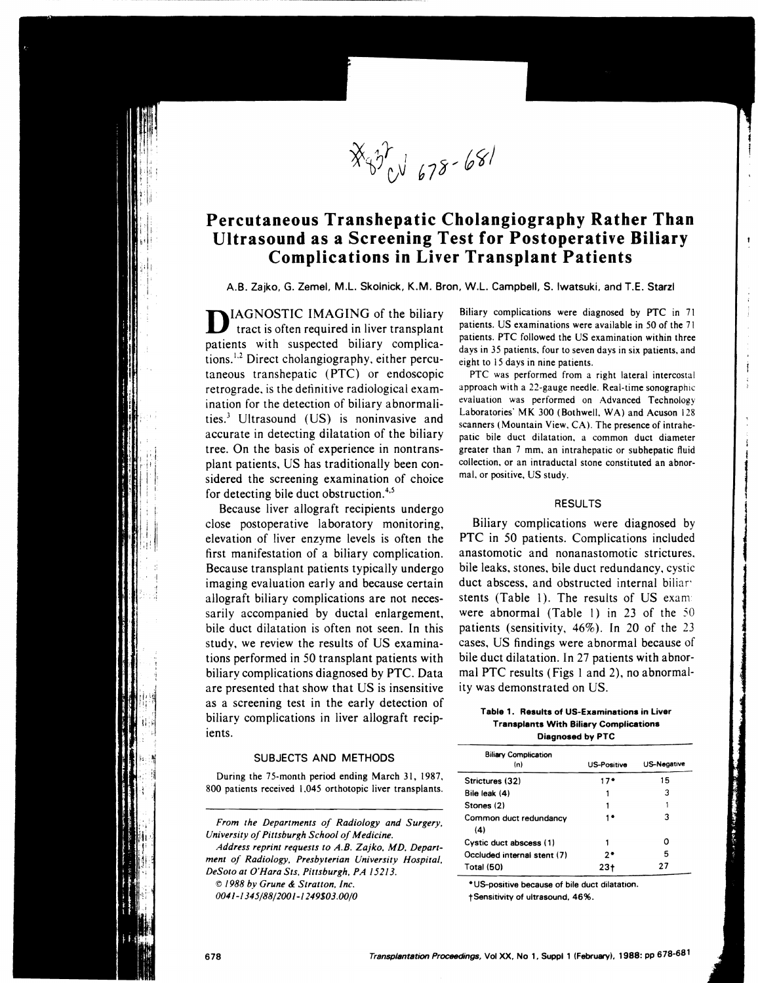$X_{\psi}^{\gamma}$  678-681

## **Percutaneous Transhepatic Cholangiography Rather Than Ultrasound as a Screening Test for Postoperative Biliary Complications in Liver Transplant Patients**

A.B. Zajko, G. Zemel, M.L. Skolnick, K.M. Bran, W.L. Campbell, S. Iwatsuki, and T.E. Starzl

IAGNOSTIC IMAGING of the biliary tract is often required in liver transplant patients with suspected biliary complications.<sup>1,2</sup> Direct cholangiography, either percutaneous transhepatic (PTC) or endoscopic retrograde. is the definitive radiological examination for the detection of biliary abnormalities.) Ultrasound (US) is noninvasive and accurate in detecting dilatation of the biliary tree. On the basis of experience in nontransplant patients. US has traditionally been considered the screening examination of choice for detecting bile duct obstruction.<sup>4,5</sup>

Because liver allograft recipients undergo close postoperative laboratory monitoring, elevation of liver enzyme levels is often the first manifestation of a biliary complication. Because transplant patients typically undergo imaging evaluation early and because certain allograft biliary complications are not necessarily accompanied by ductal enlargement, bile duct dilatation is often not seen. In this study, we review the results of US examinations performed in 50 transplant patients with biliary complications diagnosed by PTC. Data are presented that show that US is insensitive as a screening test in the early detection of biliary complications in liver allograft recipients.

## SUBJECTS AND METHODS

During the 75-month period ending March 31, 1987, 800 patients received 1.045 orthotopic liver transplants.

*From the Departments of Radiology and Surgery, University of Pittsburgh School of Medicine. Address reprint requests to A.B. Zajko. MD. Department of Radiology. Presbyterian University Hospital.* 

*DeSoto at O'Hara Sts. Pittsburgh. PA 15213.*  © *1988 by Grune* & *Stratton. Inc. 0041-1345/88/2001-1249\$03.00/0* 

Biliary complications were diagnosed by PTC in 71 patients. US examinations were available in 50 of the 71 patients. PTC followed the US examination within three days in 35 patients, four to seven days in six patients. and eight to 15 days in nine patients.

PTC was performed from a right lateral intercostal approach with a 22-gauge needle. Real-time sonographic evaluation was performed on Advanced Technology Laboratories' MK 300 (Bothwell, WA) and Acuson 128 scanners (Mountain View, CA). The presence of intrahepatic bile duct dilatation. a common duct diameter greater than 7 mm. an intrahepatic or subhepatic fluid collection. or an intraductal stone constituted an abnormal. or positive, US study.

### RESULTS

Biliary complications were diagnosed by PTC in 50 patients. Complications included anastomotic and nonanastomotic strictures. bile leaks. stones, bile duct redundancy. cystic duct abscess, and obstructed internal biliar' stents (Table 1). The results of US exam: were abnormal (Table 1) in 23 of the 50 patients (sensitivity, 46%). In 20 of the 23 cases, US findings were abnormal because of bile duct dilatation. In 27 patients with abnormal PTC results (Figs 1 and 2), no abnormality was demonstrated on US.

### Table 1. Results of US-Examinations in Liver Transplants With Bilisry Complications Diagnosed by PTC

| <b>Biliary Complication</b> |                    |                    |
|-----------------------------|--------------------|--------------------|
| (n)                         | <b>US-Positive</b> | <b>US-Negative</b> |
| Strictures (32)             | 17*                | 15                 |
| Bile leak (4)               |                    | 3                  |
| Stones (2)                  |                    |                    |
| Common duct redundancy      |                    | з                  |
| (4)                         |                    |                    |
| Cystic duct abscess (1)     |                    | ი                  |
| Occluded internal stent (7) | 2.                 | 5                  |
| Total (50)                  | 231                | 27                 |

• US-positive because of bile duct dilatation.

tSensitivity of ultrasound. 46%.

I'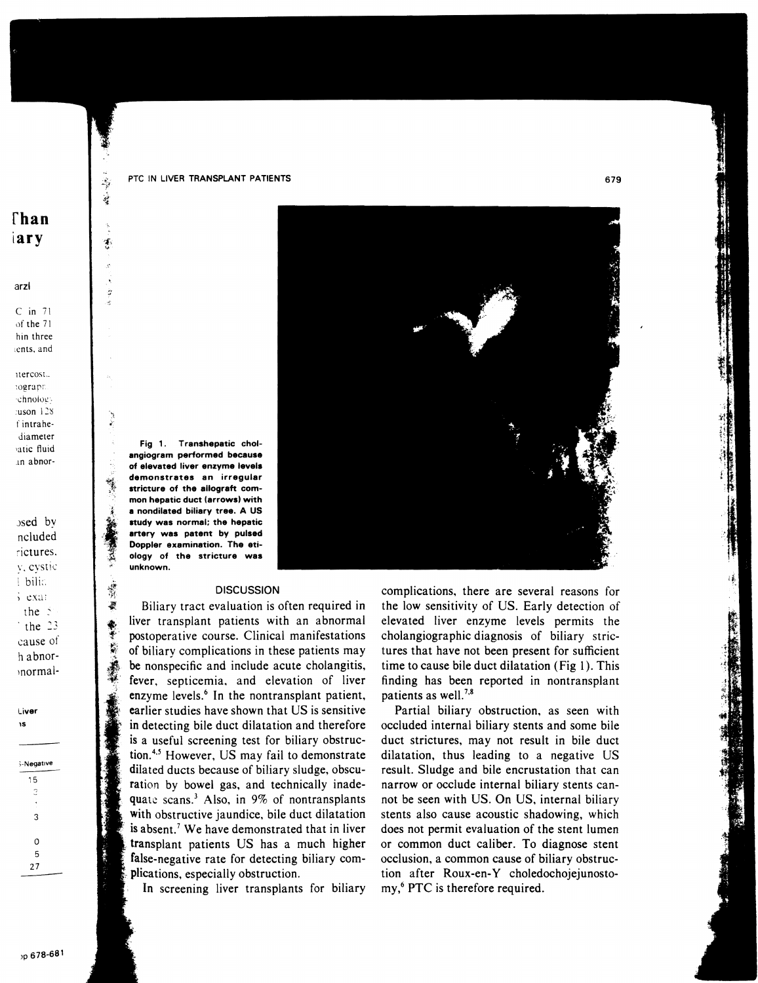PTC IN LIVER TRANSPLANT PATIENTS

# $\Gamma$ han iary

ŧ

響

羲

鬆

#### arzl

 $C$  in  $71$ of the 71 hin three ents, and

itercost. tograph chnology :uson 128 f intrahediameter vatic fluid in abnor-

 $s$ sed by ncluded rictures. v. cystic | bilic  $5$  exar the  $\geq$ the  $23$ cause of h abnornormal-

Liver ۱Ś

| 5-Negative |
|------------|
| 15         |
| З          |
|            |
| 3          |
|            |
| 0          |
| 5          |
| 27         |
|            |

Fig 1. Transhepatic cholangiogram performed because of elevated liver enzyme levels demonstrates an irrequiar stricture of the allograft common hepatic duct (arrows) with a nondilated biliary tree. A US study was normal; the hepatic artery was patent by pulsed Doppler examination. The etiology of the stricture was unknown.

### **DISCUSSION**

Biliary tract evaluation is often required in liver transplant patients with an abnormal postoperative course. Clinical manifestations of biliary complications in these patients may be nonspecific and include acute cholangitis, fever, septicemia, and elevation of liver enzyme levels.<sup>6</sup> In the nontransplant patient, earlier studies have shown that US is sensitive in detecting bile duct dilatation and therefore is a useful screening test for biliary obstruction.<sup>4,5</sup> However, US may fail to demonstrate dilated ducts because of biliary sludge, obscuration by bowel gas, and technically inadequate scans.<sup>3</sup> Also, in 9% of nontransplants with obstructive jaundice, bile duct dilatation is absent.<sup>7</sup> We have demonstrated that in liver transplant patients US has a much higher false-negative rate for detecting biliary complications, especially obstruction.

In screening liver transplants for biliary



complications, there are several reasons for the low sensitivity of US. Early detection of elevated liver enzyme levels permits the cholangiographic diagnosis of biliary strictures that have not been present for sufficient time to cause bile duct dilatation (Fig 1). This finding has been reported in nontransplant patients as well.<sup>7,8</sup>

Partial biliary obstruction, as seen with occluded internal biliary stents and some bile duct strictures, may not result in bile duct dilatation, thus leading to a negative US result. Sludge and bile encrustation that can narrow or occlude internal biliary stents cannot be seen with US. On US, internal biliary stents also cause acoustic shadowing, which does not permit evaluation of the stent lumen or common duct caliber. To diagnose stent occlusion, a common cause of biliary obstruction after Roux-en-Y choledochojejunostomy,<sup>6</sup> PTC is therefore required.

679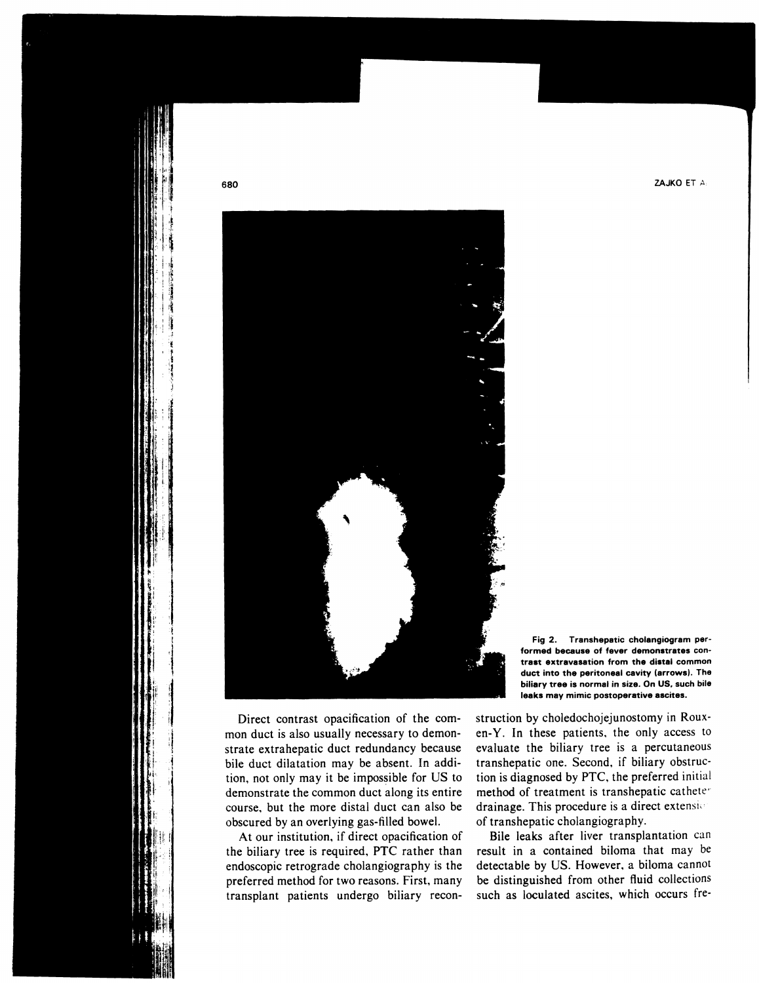

680

Direct contrast opacification of the common duct is also usually necessary to demonstrate extrahepatic duct redundancy because bile duct dilatation may be absent. In addition, not only may it be impossible for US to demonstrate the common duct along its entire course, but the more distal duct can also be obscured by an overlying gas-filled bowel.

At our institution, if direct opacification of the biliary tree is required, PTC rather than endoscopic retrograde cholangiography is the preferred method for two reasons. First, many transplant patients undergo biliary recon-

Fig 2. Transhepatic cholangiogram performed because of fever demonstrates contrast extravasation from the distal common duct into the peritoneal cavity (arrows). The biliary tree is normal in size. On US, such bile leaks may mimic postoperative ascites.

struction by choledochojejunostomy in Rouxen-Y. In these patients, the only access to evaluate the biliary tree is a percutaneous transhepatic one. Second, if biliary obstruction is diagnosed by PTC, the preferred initial method of treatment is transhepatic catheter drainage. This procedure is a direct extension of transhepatic cholangiography.

Bile leaks after liver transplantation can result in a contained biloma that may be detectable by US. However, a biloma cannot be distinguished from other fluid collections such as loculated ascites, which occurs fre-

ZAJKO ET A: